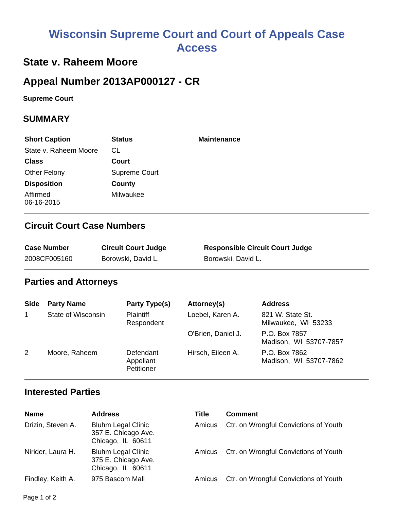# **Wisconsin Supreme Court and Court of Appeals Case Access**

# **State v. Raheem Moore**

# **Appeal Number 2013AP000127 - CR**

**Supreme Court** 

### **SUMMARY**

| <b>Short Caption</b>   | <b>Status</b> | <b>Maintenance</b> |
|------------------------|---------------|--------------------|
| State v. Raheem Moore  | CL.           |                    |
| <b>Class</b>           | Court         |                    |
| <b>Other Felony</b>    | Supreme Court |                    |
| <b>Disposition</b>     | County        |                    |
| Affirmed<br>06-16-2015 | Milwaukee     |                    |

## **Circuit Court Case Numbers**

| <b>Case Number</b> | <b>Circuit Court Judge</b> | <b>Responsible Circuit Court Judge</b> |
|--------------------|----------------------------|----------------------------------------|
| 2008CF005160       | Borowski, David L.         | Borowski, David L.                     |

### **Parties and Attorneys**

| <b>Side</b> | <b>Party Name</b>  | <b>Party Type(s)</b>                 | Attorney(s)        | <b>Address</b>                          |
|-------------|--------------------|--------------------------------------|--------------------|-----------------------------------------|
| 1           | State of Wisconsin | <b>Plaintiff</b><br>Respondent       | Loebel, Karen A.   | 821 W. State St.<br>Milwaukee, WI 53233 |
|             |                    |                                      | O'Brien, Daniel J. | P.O. Box 7857<br>Madison, WI 53707-7857 |
| 2           | Moore, Raheem      | Defendant<br>Appellant<br>Petitioner | Hirsch, Eileen A.  | P.O. Box 7862<br>Madison, WI 53707-7862 |

### **Interested Parties**

| <b>Name</b>       | <b>Address</b>                                                        | Title  | <b>Comment</b>                        |
|-------------------|-----------------------------------------------------------------------|--------|---------------------------------------|
| Drizin, Steven A. | <b>Bluhm Legal Clinic</b><br>357 E. Chicago Ave.<br>Chicago, IL 60611 | Amicus | Ctr. on Wrongful Convictions of Youth |
| Nirider, Laura H. | <b>Bluhm Legal Clinic</b><br>375 E. Chicago Ave.<br>Chicago, IL 60611 | Amicus | Ctr. on Wrongful Convictions of Youth |
| Findley, Keith A. | 975 Bascom Mall                                                       | Amicus | Ctr. on Wrongful Convictions of Youth |